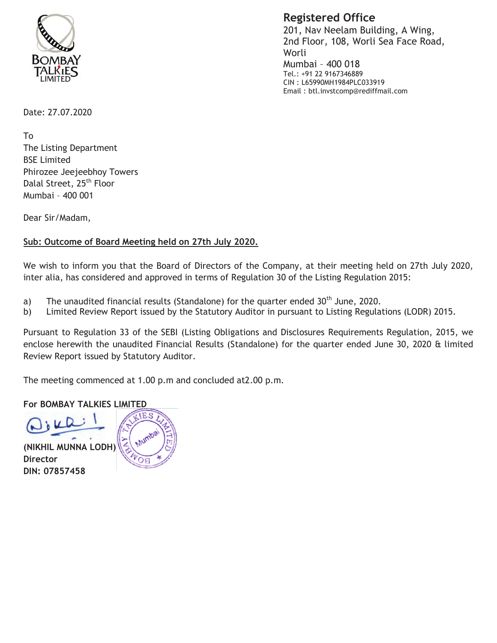

**Registered Office** 

201, Nav Neelam Building, A Wing, 2nd Floor, 108, Worli Sea Face Road, Worli Mumbai - 400 018 Tel.: +91 22 9167346889 CIN: L65990MH1984PLC033919 Email: btl.invstcomp@rediffmail.com

Date: 27.07.2020

**Τ**ο The Listing Department **BSE Limited** Phirozee Jeejeebhoy Towers Dalal Street, 25<sup>th</sup> Floor Mumbai - 400 001

Dear Sir/Madam,

## Sub: Outcome of Board Meeting held on 27th July 2020.

We wish to inform you that the Board of Directors of the Company, at their meeting held on 27th July 2020, inter alia, has considered and approved in terms of Regulation 30 of the Listing Regulation 2015:

- The unaudited financial results (Standalone) for the quarter ended 30<sup>th</sup> June, 2020. a)
- Limited Review Report issued by the Statutory Auditor in pursuant to Listing Regulations (LODR) 2015. b)

Pursuant to Regulation 33 of the SEBI (Listing Obligations and Disclosures Requirements Regulation, 2015, we enclose herewith the unaudited Financial Results (Standalone) for the quarter ended June 30, 2020 & limited Review Report issued by Statutory Auditor.

The meeting commenced at 1.00 p.m and concluded at 2.00 p.m.

## **For BOMBAY TALKIES LIMITED**

(NIKHIL MUNNA LODH) **Director** DIN: 07857458

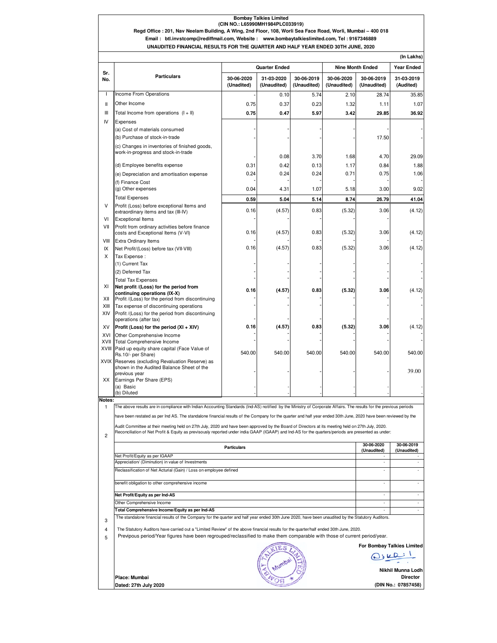## **Bombay Talkies Limited (CIN NO.: L65990MH1984PLC033919)**

**Regd Office : 201, Nav Neelam Building, A Wing, 2nd Floor, 108, Worli Sea Face Road, Worli, Mumbai – 400 018 Email : btl.invstcomp@rediffmail.com, Website : www.bombaytalkieslimited.com, Tel : 9167346889**

**UNAUDITED FINANCIAL RESULTS FOR THE QUARTER AND HALF YEAR ENDED 30TH JUNE, 2020**

|                     |                                                                                                                                                                   | <b>Quarter Ended</b><br><b>Nine Month Ended</b>                                                                                                    |             |             |             |                            |                                 |
|---------------------|-------------------------------------------------------------------------------------------------------------------------------------------------------------------|----------------------------------------------------------------------------------------------------------------------------------------------------|-------------|-------------|-------------|----------------------------|---------------------------------|
| Sr.                 | <b>Particulars</b>                                                                                                                                                | 30-06-2020                                                                                                                                         | 31-03-2020  | 30-06-2019  | 30-06-2020  | 30-06-2019                 | <b>Year Ended</b><br>31-03-2019 |
| No.<br>$\mathbf{I}$ |                                                                                                                                                                   | (Unadited)                                                                                                                                         | (Unaudited) | (Unaudited) | (Unaudited) | (Unaudited)                | (Audited)                       |
|                     | Income From Operations                                                                                                                                            |                                                                                                                                                    | 0.10        | 5.74        | 2.10        | 28.74                      | 35.85                           |
| Ш                   | Other Income                                                                                                                                                      | 0.75                                                                                                                                               | 0.37        | 0.23        | 1.32        | 1.11                       | 1.07                            |
| Ш                   | Total Income from operations $(I + II)$                                                                                                                           | 0.75                                                                                                                                               | 0.47        | 5.97        | 3.42        | 29.85                      | 36.92                           |
| IV                  | Expenses<br>(a) Cost of materials consumed                                                                                                                        |                                                                                                                                                    |             |             |             |                            |                                 |
|                     | (b) Purchase of stock-in-trade                                                                                                                                    |                                                                                                                                                    |             |             |             | 17.50                      |                                 |
|                     | (c) Changes in inventories of finished goods,                                                                                                                     |                                                                                                                                                    |             |             |             |                            |                                 |
|                     | work-in-progress and stock-in-trade                                                                                                                               |                                                                                                                                                    | 0.08        | 3.70        | 1.68        | 4.70                       | 29.09                           |
|                     | (d) Employee benefits expense                                                                                                                                     | 0.31                                                                                                                                               | 0.42        | 0.13        | 1.17        | 0.84                       | 1.88                            |
|                     | (e) Depreciation and amortisation expense                                                                                                                         | 0.24                                                                                                                                               | 0.24        | 0.24        | 0.71        | 0.75                       | 1.06                            |
|                     | (f) Finance Cost                                                                                                                                                  |                                                                                                                                                    |             |             |             |                            |                                 |
|                     | (g) Other expenses                                                                                                                                                | 0.04                                                                                                                                               | 4.31        | 1.07        | 5.18        | 3.00                       | 9.02                            |
|                     | <b>Total Expenses</b>                                                                                                                                             | 0.59                                                                                                                                               | 5.04        | 5.14        | 8.74        | 26.79                      | 41.04                           |
| v                   | Profit (Loss) before exceptional Items and                                                                                                                        | 0.16                                                                                                                                               | (4.57)      | 0.83        | (5.32)      | 3.06                       | (4.12)                          |
| VI                  | extraordinary items and tax (III-IV)<br><b>Exceptional Items</b>                                                                                                  |                                                                                                                                                    |             |             |             |                            |                                 |
| VII                 | Profit from ordinary activities before finance                                                                                                                    |                                                                                                                                                    |             |             |             |                            |                                 |
|                     | costs and Exceptional Items (V-VI)                                                                                                                                | 0.16                                                                                                                                               | (4.57)      | 0.83        | (5.32)      | 3.06                       | (4.12)                          |
| VIII                | <b>Extra Ordinary Items</b>                                                                                                                                       |                                                                                                                                                    |             |             |             |                            |                                 |
| IX                  | Net Profit/(Loss) before tax (VII-VIII)                                                                                                                           | 0.16                                                                                                                                               | (4.57)      | 0.83        | (5.32)      | 3.06                       | (4.12)                          |
| X                   | Tax Expense:                                                                                                                                                      |                                                                                                                                                    |             |             |             |                            |                                 |
|                     | (1) Current Tax<br>(2) Deferred Tax                                                                                                                               |                                                                                                                                                    |             |             |             |                            |                                 |
|                     | <b>Total Tax Expenses</b>                                                                                                                                         |                                                                                                                                                    |             |             |             |                            |                                 |
| XI                  | Net profit /(Loss) for the period from                                                                                                                            |                                                                                                                                                    |             |             |             |                            |                                 |
|                     | continuing operations (IX-X)                                                                                                                                      | 0.16                                                                                                                                               | (4.57)      | 0.83        | (5.32)      | 3.06                       | (4.12)                          |
| XII                 | Profit /(Loss) for the period from discontinuing                                                                                                                  |                                                                                                                                                    |             |             |             |                            |                                 |
| XIII<br>XIV         | Tax expense of discontinuing operations<br>Profit /(Loss) for the period from discontinuing                                                                       |                                                                                                                                                    |             |             |             |                            |                                 |
|                     | operations (after tax)                                                                                                                                            |                                                                                                                                                    |             |             |             |                            |                                 |
| XV                  | Profit (Loss) for the period (XI + XIV)                                                                                                                           | 0.16                                                                                                                                               | (4.57)      | 0.83        | (5.32)      | 3.06                       | (4.12)                          |
| XVI                 | Other Comprehensive Income                                                                                                                                        |                                                                                                                                                    |             |             |             |                            |                                 |
| XVII                | <b>Total Comprehensive Income</b><br>XVIII Paid up equity share capital (Face Value of                                                                            |                                                                                                                                                    |             |             |             |                            |                                 |
|                     | Rs.10/- per Share)                                                                                                                                                | 540.00                                                                                                                                             | 540.00      | 540.00      | 540.00      | 540.00                     | 540.00                          |
|                     | XVIX Reserves (excluding Revaluation Reserve) as<br>shown in the Audited Balance Sheet of the<br>previous year                                                    |                                                                                                                                                    |             |             |             |                            | 39.00                           |
| ХX                  | Earnings Per Share (EPS)                                                                                                                                          |                                                                                                                                                    |             |             |             |                            |                                 |
|                     | (a) Basic                                                                                                                                                         |                                                                                                                                                    |             |             |             |                            |                                 |
| Notes:              | (b) Diluted                                                                                                                                                       |                                                                                                                                                    |             |             |             |                            |                                 |
| 1                   | The above results are in compliance with Indian Accounting Standards (Ind-AS) notified by the Ministry of Corporate Affairs. The results for the previous periods |                                                                                                                                                    |             |             |             |                            |                                 |
|                     | have been restated as per Ind AS. The standalone financial results of the Company for the quarter and half year ended 30th June, 2020 have been reviewed by the   |                                                                                                                                                    |             |             |             |                            |                                 |
|                     | Audit Committee at their meeting held on 27th July, 2020 and have been approved by the Board of Directors at its meeting held on 27th July, 2020.                 |                                                                                                                                                    |             |             |             |                            |                                 |
|                     | Reconciliation of Net Profit & Equity as previsously reported under india GAAP (IGAAP) and Ind-AS for the quarters/periods are presented as under:                |                                                                                                                                                    |             |             |             |                            |                                 |
| 2                   |                                                                                                                                                                   |                                                                                                                                                    |             |             |             | 30-06-2020                 | 30-06-2019                      |
|                     | <b>Particulars</b>                                                                                                                                                |                                                                                                                                                    |             |             |             | (Unaudited)                | (Unaudited)                     |
|                     | Net Profit/Equity as per IGAAP<br>Appreciation/ (Diminution) in value of Investments                                                                              |                                                                                                                                                    |             |             |             | ٠                          | ×,                              |
|                     | Reclassification of Net Acturial (Gain) / Loss on employee defined                                                                                                |                                                                                                                                                    |             |             |             |                            |                                 |
|                     |                                                                                                                                                                   |                                                                                                                                                    |             |             |             |                            |                                 |
|                     | benefit obligation to other comprehensive income                                                                                                                  |                                                                                                                                                    |             |             |             |                            | $\overline{\phantom{a}}$        |
|                     | Net Profit/Equity as per Ind-AS                                                                                                                                   |                                                                                                                                                    |             |             |             |                            | ٠                               |
|                     | Other Comprehensive Income                                                                                                                                        |                                                                                                                                                    |             |             |             | ٠                          | ٠                               |
|                     | Total Comprehensive Income/Equity as per Ind-AS                                                                                                                   |                                                                                                                                                    |             |             |             | ×.                         | $\overline{\phantom{a}}$        |
| 3                   |                                                                                                                                                                   | The standalone financial results of the Company for the quarter and half year ended 30th June 2020, have been unaudited by the Statutory Auditors. |             |             |             |                            |                                 |
| 4                   | The Statutory Auditors have carried out a "Limited Review" of the above financial results for the quarter/half ended 30th June, 2020.                             |                                                                                                                                                    |             |             |             |                            |                                 |
| 5                   | Previpous period/Year figures have been regrouped/reclassified to make them comparable with those of current period/year.                                         |                                                                                                                                                    |             |             |             |                            |                                 |
|                     |                                                                                                                                                                   |                                                                                                                                                    |             |             |             | For Bombay Talkies Limited |                                 |
|                     |                                                                                                                                                                   |                                                                                                                                                    |             |             |             | $D_i\kappa$                |                                 |
|                     |                                                                                                                                                                   |                                                                                                                                                    |             |             |             |                            |                                 |
|                     |                                                                                                                                                                   |                                                                                                                                                    |             |             |             |                            | Nikhil Munna Lodh               |
|                     | Place: Mumbai                                                                                                                                                     |                                                                                                                                                    |             |             |             |                            | <b>Director</b>                 |
|                     | Dated: 27th July 2020                                                                                                                                             |                                                                                                                                                    |             |             |             |                            | (DIN No.: 07857458)             |

**(DIN No.: 07857458)**

**Dated: 27th July 2020**